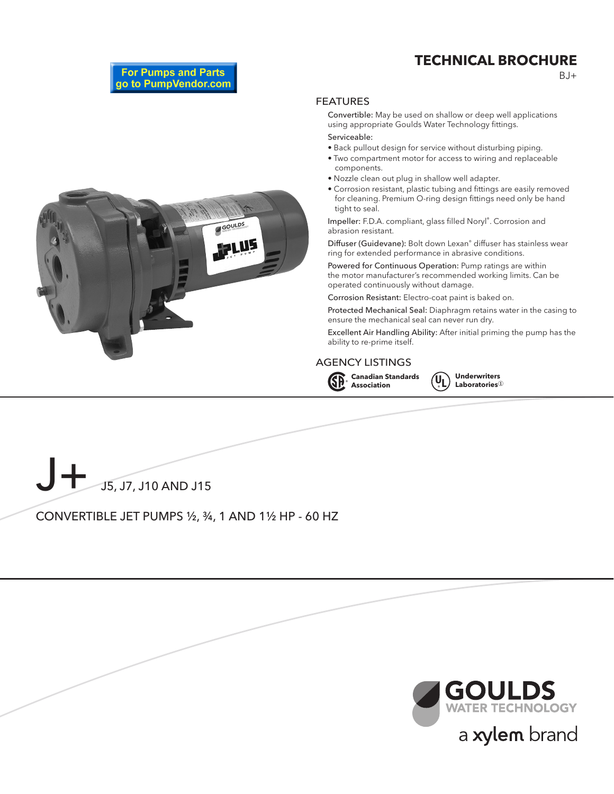## **TECHNICAL BROCHURE**

 $B.I+$ 

**For Pumps and Parts** go to PumpVendor.com

#### FEATURES

Convertible: May be used on shallow or deep well applications using appropriate Goulds Water Technology fittings.

Serviceable:

- Back pullout design for service without disturbing piping.
- Two compartment motor for access to wiring and replaceable components.
- Nozzle clean out plug in shallow well adapter.
- Corrosion resistant, plastic tubing and fittings are easily removed for cleaning. Premium O-ring design fittings need only be hand tight to seal.

Impeller: F.D.A. compliant, glass filled Noryl®. Corrosion and abrasion resistant.

Diffuser (Guidevane): Bolt down Lexan® diffuser has stainless wear ring for extended performance in abrasive conditions.

Powered for Continuous Operation: Pump ratings are within the motor manufacturer's recommended working limits. Can be operated continuously without damage.

Corrosion Resistant: Electro-coat paint is baked on.

Protected Mechanical Seal: Diaphragm retains water in the casing to ensure the mechanical seal can never run dry.

Excellent Air Handling Ability: After initial priming the pump has the ability to re-prime itself.

#### AGENCY LISTINGS









CONVERTIBLE JET PUMPS ½, ¾, 1 AND 1½ HP - 60 HZ

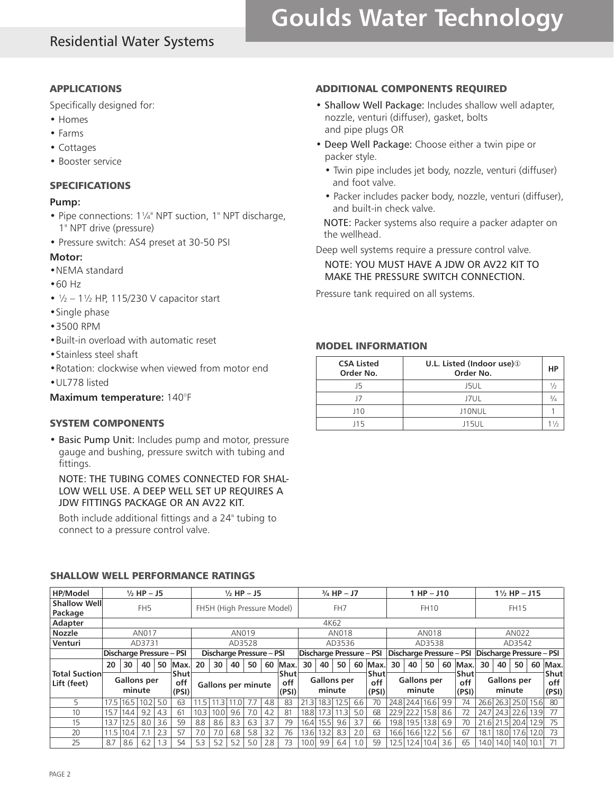## Residential Water Systems

# **Goulds Water Technology**

#### APPLICATIONS

Specifically designed for:

- Homes
- Farms
- Cottages
- Booster service

#### SPECIFICATIONS

#### **Pump:**

- Pipe connections: 1¼" NPT suction, 1" NPT discharge, 1" NPT drive (pressure)
- Pressure switch: AS4 preset at 30-50 PSI

#### **Motor:**

- •NEMA standard
- •60 Hz
- $1/2 11/2$  HP, 115/230 V capacitor start
- •Single phase
- •3500 RPM
- •Built-in overload with automatic reset
- •Stainless steel shaft
- •Rotation: clockwise when viewed from motor end
- •UL778 listed

#### **Maximum temperature:** 140°F

#### SYSTEM COMPONENTS

• Basic Pump Unit: Includes pump and motor, pressure gauge and bushing, pressure switch with tubing and fittings.

NOTE: THE TUBING COMES CONNECTED FOR SHAL-LOW WELL USE. A DEEP WELL SET UP REQUIRES A JDW FITTINGS PACKAGE OR AN AV22 KIT.

Both include additional fittings and a 24" tubing to connect to a pressure control valve.

#### ADDITIONAL COMPONENTS REQUIRED

- Shallow Well Package: Includes shallow well adapter, nozzle, venturi (diffuser), gasket, bolts and pipe plugs OR
- Deep Well Package: Choose either a twin pipe or packer style.
	- Twin pipe includes jet body, nozzle, venturi (diffuser) and foot valve.
	- Packer includes packer body, nozzle, venturi (diffuser), and built-in check valve.

NOTE: Packer systems also require a packer adapter on the wellhead.

Deep well systems require a pressure control valve.

NOTE: YOU MUST HAVE A JDW OR AV22 KIT TO MAKE THE PRESSURE SWITCH CONNECTION.

Pressure tank required on all systems.

#### MODEL INFORMATION

| <b>CSA Listed</b><br>Order No. | U.L. Listed (Indoor use) <sup>1</sup><br>Order No. | HP       |
|--------------------------------|----------------------------------------------------|----------|
| J5                             | <b>J5UL</b>                                        |          |
| 17                             | J7UL                                               | $^{3/4}$ |
| J10                            | J10NUL                                             |          |
| 15                             | J15UL                                              |          |

### SHALLOW WELL PERFORMANCE RATINGS

| <b>HP/Model</b>                     | $\frac{1}{2}$ HP - J5                         |                              |      |     |                                                                                                           |      |                 | $\frac{1}{2}$ HP - J5    |     |        |                    |      |                      | $\frac{3}{4}$ HP - J7 |            |                                                   |      |                      | $1$ HP $-$ J10 |     |      |        |      | $1\frac{1}{2}$ HP - J15 |      |      |
|-------------------------------------|-----------------------------------------------|------------------------------|------|-----|-----------------------------------------------------------------------------------------------------------|------|-----------------|--------------------------|-----|--------|--------------------|------|----------------------|-----------------------|------------|---------------------------------------------------|------|----------------------|----------------|-----|------|--------|------|-------------------------|------|------|
| <b>Shallow Well</b><br>Package      | FH <sub>5</sub><br>FH5H (High Pressure Model) |                              |      |     |                                                                                                           |      | FH <sub>7</sub> |                          |     |        | <b>FH10</b>        |      |                      |                       |            | <b>FH15</b>                                       |      |                      |                |     |      |        |      |                         |      |      |
| Adapter                             |                                               |                              |      |     |                                                                                                           |      |                 |                          |     |        |                    |      | 4K62                 |                       |            |                                                   |      |                      |                |     |      |        |      |                         |      |      |
| <b>Nozzle</b>                       | AN017                                         |                              |      |     |                                                                                                           |      |                 | AN019                    |     |        |                    |      |                      | AN018                 |            |                                                   |      |                      | AN018          |     |      | AN022  |      |                         |      |      |
| Venturi                             | AD3731                                        |                              |      |     |                                                                                                           |      |                 | AD3528                   |     |        |                    |      |                      | AD3536                |            |                                                   |      |                      | AD3538         |     |      | AD3542 |      |                         |      |      |
|                                     | Discharge Pressure - PSI                      |                              |      |     | Discharge Pressure - PSI                                                                                  |      |                 | Discharge Pressure - PSI |     |        |                    |      |                      |                       |            | Discharge Pressure - PSI Discharge Pressure - PSI |      |                      |                |     |      |        |      |                         |      |      |
|                                     | 20                                            | 30                           | 40   | 50  | Max.                                                                                                      | 20   | 30              | 40                       | 50  | 60     | Max.               | 30   | 40                   | 50                    |            | 60 Max.                                           | 30   | 40                   | 50             | 60  | Max. | 30     | 40   | 50                      | 60   | Max. |
| <b>Total Suction</b><br>Lift (feet) |                                               | <b>Gallons per</b><br>minute |      |     | Shut<br>Shut<br><b>Gallons</b> per<br>off<br>off<br><b>Gallons per minute</b><br>minute<br>(PSI)<br>(PSI) |      |                 | Shut<br>off<br>(PSI)     |     | minute | <b>Gallons</b> per |      | Shut<br>off<br>(PSI) |                       | minute     | <b>Gallons</b> per                                |      | Shut<br>off<br>(PSI) |                |     |      |        |      |                         |      |      |
| 5.                                  | 17.5                                          | 16.5                         | 10.2 | 5.0 | 63                                                                                                        | 11.5 | 11.3            | 11.0                     |     | 4.8    | 83                 | 21.3 | 18.3                 | 12.5                  | 6.6        | 70                                                | 24.8 |                      | 24.4 16.6      | 9.9 | 74   | 26.6   |      | 26.3 25.0 15.6          |      | 80   |
| 10 <sup>°</sup>                     | 15.7                                          | 14.4                         | 9.2  | 4.3 | 61                                                                                                        | 10.3 | 10.0            | 9.6                      | 7.0 | 4.2    | 81                 | 18.8 | 17.31                | 11.3                  | 5.0        | 68                                                | 22.9 | 22.2                 | 15.8           | 8.6 | 72   | 24.7   |      | 24.3 22.6               | 13.9 | 77   |
| 15                                  | 13.7                                          | 12.5                         | 8.0  | 3.6 | 59                                                                                                        | 8.8  | 8.6             | 8.3                      | 6.3 | 3.7    | 79                 | 16.4 | 15.5                 | 9.6                   | 3.7        | 66                                                | 19.8 | 19.5 13.8            |                | 6.9 | 70   | 21.6   | 21.5 | 20.4                    | 12.9 | 75   |
| 20                                  | 11.5                                          | 10.4                         | 7.1  | 2.3 | 57                                                                                                        | 7.0  | 7.0             | 6.8                      | 5.8 | 3.2    | 76                 | 13.6 | 13.2                 | 8.3                   | 2.0        | 63                                                | 16.6 | 16.6                 | 12.2           | 5.6 | 67   | 18.1   | 18.0 | 17.61                   | 12.0 | 73   |
| 25                                  | 8.7                                           | 8.6                          | 6.2  | 1.3 | 54                                                                                                        | 5.3  | 5.2             | 5.2                      | 5.0 | 2.8    | 73                 | 10.0 | 9.9                  | 6.4                   | $\Omega$ . | 59                                                | 12.5 | 12.4                 | 10.4           | 3.6 | 65   | 14.01  | 14.0 | 14.0   10.1             |      |      |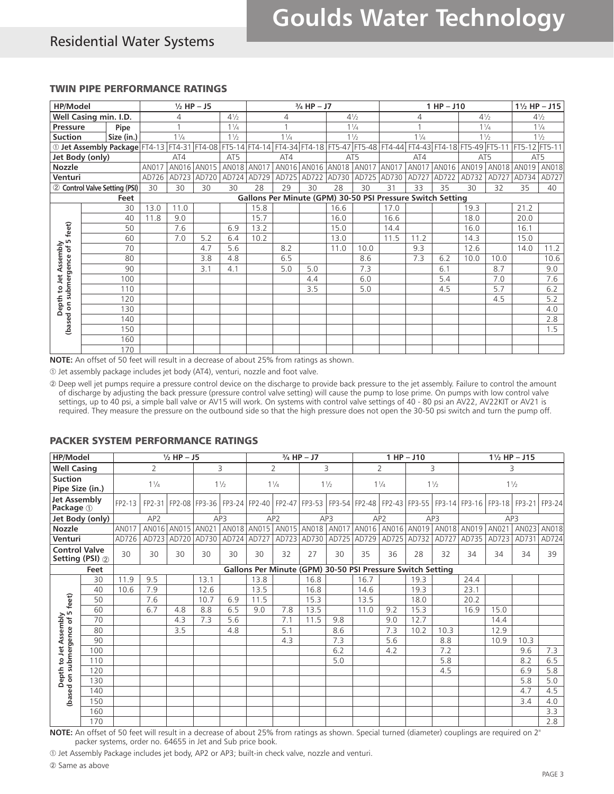## Residential Water Systems

#### TWIN PIPE PERFORMANCE RATINGS

| HP/Model                                                       |                                                                                                                                        |       |                | $1/2$ HP $-$ J5 |                |      |                                                            | $\frac{3}{4}$ HP - J7   |                         | $1$ HP $-$ J10 |       |                |       |                | $1\frac{1}{2}$ HP - J15 |                |                |
|----------------------------------------------------------------|----------------------------------------------------------------------------------------------------------------------------------------|-------|----------------|-----------------|----------------|------|------------------------------------------------------------|-------------------------|-------------------------|----------------|-------|----------------|-------|----------------|-------------------------|----------------|----------------|
|                                                                | Well Casing min. I.D.<br>4                                                                                                             |       |                |                 | $4\frac{1}{2}$ |      | 4                                                          |                         | $4\frac{1}{2}$          |                |       | 4              |       | $4\frac{1}{2}$ |                         | $4\frac{1}{2}$ |                |
| Pressure<br>Pipe                                               |                                                                                                                                        |       |                |                 | $1\frac{1}{4}$ |      |                                                            |                         |                         | $1\frac{1}{4}$ |       |                |       | $1\frac{1}{4}$ |                         |                | $1\frac{1}{4}$ |
| <b>Suction</b>                                                 | Size (in.)                                                                                                                             |       | $1\frac{1}{4}$ |                 | $1\frac{1}{2}$ |      | $1\frac{1}{4}$                                             |                         |                         | $1\frac{1}{2}$ |       | $1\frac{1}{4}$ |       | $1\frac{1}{2}$ |                         |                | $1\frac{1}{2}$ |
|                                                                | 0 Jet Assembly Package FT4-13 FT4-31 FT4-08 FT5-14 FT4-14 FT4-34 FT4-18 FT5-47 FT5-48 FT4-44 FT4-43 FT4-18 FT5-49 FT5-11 FT5-12 FT5-11 |       |                |                 |                |      |                                                            |                         |                         |                |       |                |       |                |                         |                |                |
|                                                                | Jet Body (only)                                                                                                                        |       | AT4            |                 | AT5            |      | AT4                                                        |                         | AT5                     |                |       | AT4            |       | AT5            |                         | AT5            |                |
| <b>Nozzle</b>                                                  |                                                                                                                                        | AN017 |                | AN016 AN015     | AN018 AN017    |      |                                                            | AN016 AN016 AN018 AN017 |                         |                | AN017 | <b>AN017</b>   | AN016 | AN019          | AN018                   | AN019          | AN018          |
| Venturi                                                        |                                                                                                                                        | AD726 |                | AD723 AD720     | AD724 AD729    |      | AD725                                                      |                         | AD722 AD730 AD725 AD730 |                |       | AD727          | AD722 | AD732          |                         | AD727 AD734    | AD727          |
|                                                                | 2 Control Valve Setting (PSI)                                                                                                          | 30    | 30             | 30              | 30             | 28   | 29                                                         | 30                      | 28                      | 30             | 31    | 33             | 35    | 30             | 32                      | 35             | 40             |
|                                                                | Feet                                                                                                                                   |       |                |                 |                |      | Gallons Per Minute (GPM) 30-50 PSI Pressure Switch Setting |                         |                         |                |       |                |       |                |                         |                |                |
|                                                                | 30                                                                                                                                     | 13.0  | 11.0           |                 |                | 15.8 |                                                            |                         | 16.6                    |                | 17.0  |                |       | 19.3           |                         | 21.2           |                |
|                                                                | 40                                                                                                                                     | 11.8  | 9.0            |                 |                | 15.7 |                                                            |                         | 16.0                    |                | 16.6  |                |       | 18.0           |                         | 20.0           |                |
| feet)                                                          | 50                                                                                                                                     |       | 7.6            |                 | 6.9            | 13.2 |                                                            |                         | 15.0                    |                | 14.4  |                |       | 16.0           |                         | 16.1           |                |
|                                                                | 60                                                                                                                                     |       | 7.0            | 5.2             | 6.4            | 10.2 |                                                            |                         | 13.0                    |                | 11.5  | 11.2           |       | 14.3           |                         | 15.0           |                |
| epth to Jet Assembly<br>epth to Jet Assembly<br>submergence of | 70                                                                                                                                     |       |                | 4.7             | 5.6            |      | 8.2                                                        |                         | 11.0                    | 10.0           |       | 9.3            |       | 12.6           |                         | 14.0           | 11.2           |
|                                                                | 80                                                                                                                                     |       |                | 3.8             | 4.8            |      | 6.5                                                        |                         |                         | 8.6            |       | 7.3            | 6.2   | 10.0           | 10.0                    |                | 10.6           |
|                                                                | 90                                                                                                                                     |       |                | 3.1             | 4.1            |      | 5.0                                                        | 5.0                     |                         | 7.3            |       |                | 6.1   |                | 8.7                     |                | 9.0            |
|                                                                | 100                                                                                                                                    |       |                |                 |                |      |                                                            | 4.4                     |                         | 6.0            |       |                | 5.4   |                | 7.0                     |                | 7.6            |
|                                                                | 110                                                                                                                                    |       |                |                 |                |      |                                                            | 3.5                     |                         | 5.0            |       |                | 4.5   |                | 5.7                     |                | 6.2            |
|                                                                | 120                                                                                                                                    |       |                |                 |                |      |                                                            |                         |                         |                |       |                |       |                | 4.5                     |                | 5.2            |
| ۵                                                              | 130                                                                                                                                    |       |                |                 |                |      |                                                            |                         |                         |                |       |                |       |                |                         |                | 4.0            |
| (based                                                         | 140                                                                                                                                    |       |                |                 |                |      |                                                            |                         |                         |                |       |                |       |                |                         |                | 2.8            |
|                                                                | 150                                                                                                                                    |       |                |                 |                |      |                                                            |                         |                         |                |       |                |       |                |                         |                | 1.5            |
|                                                                | 160                                                                                                                                    |       |                |                 |                |      |                                                            |                         |                         |                |       |                |       |                |                         |                |                |
|                                                                | 170                                                                                                                                    |       |                |                 |                |      |                                                            |                         |                         |                |       |                |       |                |                         |                |                |

**NOTE:** An offset of 50 feet will result in a decrease of about 25% from ratings as shown.

➀ Jet assembly package includes jet body (AT4), venturi, nozzle and foot valve.

➁ Deep well jet pumps require a pressure control device on the discharge to provide back pressure to the jet assembly. Failure to control the amount of discharge by adjusting the back pressure (pressure control valve setting) will cause the pump to lose prime. On pumps with Iow control valve settings, up to 40 psi, a simple ball valve or AV15 will work. On systems with control valve settings of 40 - 80 psi an AV22, AV22KIT or AV21 is required. They measure the pressure on the outbound side so that the high pressure does not open the 30-50 psi switch and turn the pump off.

#### PACKER SYSTEM PERFORMANCE RATINGS

| HP/Model                                                  |                                                                                                                                                                                                                                                                                                                  |        |                 | $\frac{1}{2}$ HP - J5 |                                                                                                                 |     |                                                                                       |                | $3/4$ HP - J7 |                |                                                    |     | $1$ HP $-$ J10 |      |       |       | $1\frac{1}{2}$ HP - J15 |             |
|-----------------------------------------------------------|------------------------------------------------------------------------------------------------------------------------------------------------------------------------------------------------------------------------------------------------------------------------------------------------------------------|--------|-----------------|-----------------------|-----------------------------------------------------------------------------------------------------------------|-----|---------------------------------------------------------------------------------------|----------------|---------------|----------------|----------------------------------------------------|-----|----------------|------|-------|-------|-------------------------|-------------|
|                                                           | <b>Well Casing</b>                                                                                                                                                                                                                                                                                               |        | 2               |                       |                                                                                                                 | 3   |                                                                                       | $\overline{2}$ |               | 3              |                                                    | 2   |                | 3    | 3     |       |                         |             |
| <b>Suction</b><br>Pipe Size (in.)                         |                                                                                                                                                                                                                                                                                                                  |        | $1\frac{1}{4}$  |                       | $1\frac{1}{2}$                                                                                                  |     |                                                                                       | $1\frac{1}{4}$ |               | $1\frac{1}{2}$ | $1\frac{1}{4}$<br>$1\frac{1}{2}$<br>$1\frac{1}{2}$ |     |                |      |       |       |                         |             |
| <b>Jet Assembly</b><br>Package (1)                        |                                                                                                                                                                                                                                                                                                                  | FP2-13 |                 |                       | FP2-31 FP2-08 FP3-36 FP3-24 FP2-40 FP2-47 FP3-53 FP3-54 FP2-48 FP2-43 FP3-55 FP3-14 FP3-16 FP3-18 FP3-21 FP3-24 |     |                                                                                       |                |               |                |                                                    |     |                |      |       |       |                         |             |
|                                                           | Jet Body (only)                                                                                                                                                                                                                                                                                                  |        | AP <sub>2</sub> |                       |                                                                                                                 | AP3 | AP <sub>2</sub>                                                                       |                |               | AP3            | AP <sub>2</sub>                                    |     | AP3            |      | AP3   |       |                         |             |
| <b>Nozzle</b>                                             |                                                                                                                                                                                                                                                                                                                  | AN017  |                 | AN016 AN015 AN021     |                                                                                                                 |     | AN018   AN015   AN015   AN018   AN017   AN016   AN016   AN019   AN018   AN019   AN021 |                |               |                |                                                    |     |                |      |       |       |                         | AN023 AN018 |
| Venturi                                                   |                                                                                                                                                                                                                                                                                                                  | AD726  |                 |                       | AD723 AD720 AD730 AD724 AD727                                                                                   |     |                                                                                       |                | AD723 AD730   |                | AD725 AD729 AD725 AD732 AD727                      |     |                |      | AD735 | AD723 | AD731 AD724             |             |
| <b>Control Valve</b>                                      | Setting (PSI) 2                                                                                                                                                                                                                                                                                                  | 30     | 30              | 30                    | 30                                                                                                              | 30  | 30                                                                                    | 32             | 27            | 30             | 35                                                 | 36  | 28             | 32   | 34    | 34    | 34                      | 39          |
|                                                           | Feet                                                                                                                                                                                                                                                                                                             |        |                 |                       |                                                                                                                 |     | Gallons Per Minute (GPM) 30-50 PSI Pressure Switch Setting                            |                |               |                |                                                    |     |                |      |       |       |                         |             |
|                                                           | 30                                                                                                                                                                                                                                                                                                               | 11.9   | 9.5             |                       | 13.1                                                                                                            |     | 13.8                                                                                  |                | 16.8          |                | 16.7                                               |     | 19.3           |      | 24.4  |       |                         |             |
|                                                           | 40                                                                                                                                                                                                                                                                                                               | 10.6   | 7.9             |                       | 12.6                                                                                                            |     | 13.5                                                                                  |                | 16.8          |                | 14.6                                               |     | 19.3           |      | 23.1  |       |                         |             |
| Depth to Jet Assembly<br>(based on submergence of 5 feet) | 50                                                                                                                                                                                                                                                                                                               |        | 7.6             |                       | 10.7                                                                                                            | 6.9 | 11.5                                                                                  |                | 15.3          |                | 13.5                                               |     | 18.0           |      | 20.2  |       |                         |             |
|                                                           | 60                                                                                                                                                                                                                                                                                                               |        | 6.7             | 4.8                   | 8.8                                                                                                             | 6.5 | 9.0                                                                                   | 7.8            | 13.5          |                | 11.0                                               | 9.2 | 15.3           |      | 16.9  | 15.0  |                         |             |
|                                                           | 70                                                                                                                                                                                                                                                                                                               |        |                 | 4.3                   | 7.3                                                                                                             | 5.6 |                                                                                       | 7.1            | 11.5          | 9.8            |                                                    | 9.0 | 12.7           |      |       | 14.4  |                         |             |
|                                                           | 80                                                                                                                                                                                                                                                                                                               |        |                 | 3.5                   |                                                                                                                 | 4.8 |                                                                                       | 5.1            |               | 8.6            |                                                    | 7.3 | 10.2           | 10.3 |       | 12.9  |                         |             |
|                                                           | 90                                                                                                                                                                                                                                                                                                               |        |                 |                       |                                                                                                                 |     |                                                                                       | 4.3            |               | 7.3            |                                                    | 5.6 |                | 8.8  |       | 10.9  | 10.3                    |             |
|                                                           | 100                                                                                                                                                                                                                                                                                                              |        |                 |                       |                                                                                                                 |     |                                                                                       |                |               | 6.2            |                                                    | 4.2 |                | 7.2  |       |       | 9.6                     | 7.3         |
|                                                           | 110                                                                                                                                                                                                                                                                                                              |        |                 |                       |                                                                                                                 |     |                                                                                       |                |               | 5.0            |                                                    |     |                | 5.8  |       |       | 8.2                     | 6.5         |
|                                                           | 120                                                                                                                                                                                                                                                                                                              |        |                 |                       |                                                                                                                 |     |                                                                                       |                |               |                |                                                    |     |                | 4.5  |       |       | 6.9                     | 5.8         |
|                                                           | 130                                                                                                                                                                                                                                                                                                              |        |                 |                       |                                                                                                                 |     |                                                                                       |                |               |                |                                                    |     |                |      |       |       | 5.8                     | 5.0         |
|                                                           | 140                                                                                                                                                                                                                                                                                                              |        |                 |                       |                                                                                                                 |     |                                                                                       |                |               |                |                                                    |     |                |      |       |       | 4.7                     | 4.5         |
|                                                           | 150                                                                                                                                                                                                                                                                                                              |        |                 |                       |                                                                                                                 |     |                                                                                       |                |               |                |                                                    |     |                |      |       |       | 3.4                     | 4.0         |
|                                                           | 160                                                                                                                                                                                                                                                                                                              |        |                 |                       |                                                                                                                 |     |                                                                                       |                |               |                |                                                    |     |                |      |       |       |                         | 3.3         |
|                                                           | 170                                                                                                                                                                                                                                                                                                              |        |                 |                       |                                                                                                                 |     |                                                                                       |                |               |                |                                                    |     |                |      |       |       |                         | 2.8         |
|                                                           | NOTE: An offset of 50 feet will result in a decrease of about 25% from ratings as shown. Special turned (diameter) couplings are required on 2"<br>packer systems, order no. 64655 in Jet and Sub price book.<br>① Jet Assembly Package includes jet body, AP2 or AP3; built-in check valve, nozzle and venturi. |        |                 |                       |                                                                                                                 |     |                                                                                       |                |               |                |                                                    |     |                |      |       |       |                         |             |
|                                                           | 2 Same as above                                                                                                                                                                                                                                                                                                  |        |                 |                       |                                                                                                                 |     |                                                                                       |                |               |                |                                                    |     |                |      |       |       |                         |             |